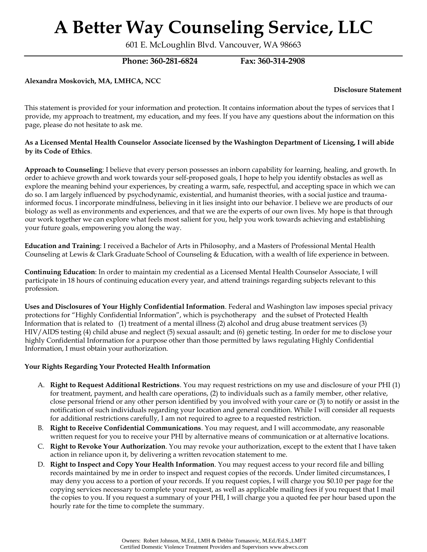601 E. McLoughlin Blvd. Vancouver, WA 98663

**Phone: 360-281-6824 Fax: 360-314-2908**

**Alexandra Moskovich, MA, LMHCA, NCC** 

**Disclosure Statement**

This statement is provided for your information and protection. It contains information about the types of services that I provide, my approach to treatment, my education, and my fees. If you have any questions about the information on this page, please do not hesitate to ask me.

### **As a Licensed Mental Health Counselor Associate licensed by the Washington Department of Licensing, I will abide by its Code of Ethics**.

**Approach to Counseling**: I believe that every person possesses an inborn capability for learning, healing, and growth. In order to achieve growth and work towards your self-proposed goals, I hope to help you identify obstacles as well as explore the meaning behind your experiences, by creating a warm, safe, respectful, and accepting space in which we can do so. I am largely influenced by psychodynamic, existential, and humanist theories, with a social justice and traumainformed focus. I incorporate mindfulness, believing in it lies insight into our behavior. I believe we are products of our biology as well as environments and experiences, and that we are the experts of our own lives. My hope is that through our work together we can explore what feels most salient for you, help you work towards achieving and establishing your future goals, empowering you along the way.

**Education and Training**: I received a Bachelor of Arts in Philosophy, and a Masters of Professional Mental Health Counseling at Lewis & Clark Graduate School of Counseling & Education, with a wealth of life experience in between.

**Continuing Education**: In order to maintain my credential as a Licensed Mental Health Counselor Associate, I will participate in 18 hours of continuing education every year, and attend trainings regarding subjects relevant to this profession.

**Uses and Disclosures of Your Highly Confidential Information**. Federal and Washington law imposes special privacy protections for "Highly Confidential Information", which is psychotherapy and the subset of Protected Health Information that is related to (1) treatment of a mental illness (2) alcohol and drug abuse treatment services (3) HIV/AIDS testing (4) child abuse and neglect (5) sexual assault; and (6) genetic testing. In order for me to disclose your highly Confidential Information for a purpose other than those permitted by laws regulating Highly Confidential Information, I must obtain your authorization.

### **Your Rights Regarding Your Protected Health Information**

- A. **Right to Request Additional Restrictions**. You may request restrictions on my use and disclosure of your PHI (1) for treatment, payment, and health care operations, (2) to individuals such as a family member, other relative, close personal friend or any other person identified by you involved with your care or (3) to notify or assist in the notification of such individuals regarding your location and general condition. While I will consider all requests for additional restrictions carefully, I am not required to agree to a requested restriction.
- B. **Right to Receive Confidential Communications**. You may request, and I will accommodate, any reasonable written request for you to receive your PHI by alternative means of communication or at alternative locations.
- C. **Right to Revoke Your Authorization**. You may revoke your authorization, except to the extent that I have taken action in reliance upon it, by delivering a written revocation statement to me.
- D. **Right to Inspect and Copy Your Health Information**. You may request access to your record file and billing records maintained by me in order to inspect and request copies of the records. Under limited circumstances, I may deny you access to a portion of your records. If you request copies, I will charge you \$0.10 per page for the copying services necessary to complete your request, as well as applicable mailing fees if you request that I mail the copies to you. If you request a summary of your PHI, I will charge you a quoted fee per hour based upon the hourly rate for the time to complete the summary.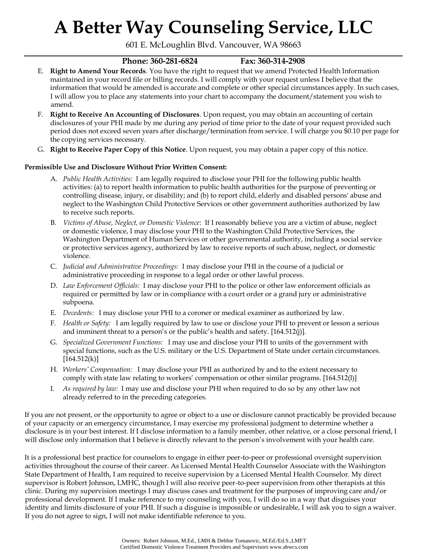601 E. McLoughlin Blvd. Vancouver, WA 98663

### **Phone: 360-281-6824 Fax: 360-314-2908**

- E. **Right to Amend Your Records**. You have the right to request that we amend Protected Health Information maintained in your record file or billing records. I will comply with your request unless I believe that the information that would be amended is accurate and complete or other special circumstances apply. In such cases, I will allow you to place any statements into your chart to accompany the document/statement you wish to amend.
- F. **Right to Receive An Accounting of Disclosures**. Upon request, you may obtain an accounting of certain disclosures of your PHI made by me during any period of time prior to the date of your request provided such period does not exceed seven years after discharge/termination from service. I will charge you \$0.10 per page for the copying services necessary.
- G. **Right to Receive Paper Copy of this Notice**. Upon request, you may obtain a paper copy of this notice.

### **Permissible Use and Disclosure Without Prior Written Consent:**

- A. *Public Health Activities:* I am legally required to disclose your PHI for the following public health activities: (a) to report health information to public health authorities for the purpose of preventing or controlling disease, injury, or disability; and (b) to report child, elderly and disabled persons' abuse and neglect to the Washington Child Protective Services or other government authorities authorized by law to receive such reports.
- B. *Victims of Abuse, Neglect, or Domestic Violence*: If I reasonably believe you are a victim of abuse, neglect or domestic violence, I may disclose your PHI to the Washington Child Protective Services, the Washington Department of Human Services or other governmental authority, including a social service or protective services agency, authorized by law to receive reports of such abuse, neglect, or domestic violence.
- C. *Judicial and Administrative Proceedings:* I may disclose your PHI in the course of a judicial or administrative proceeding in response to a legal order or other lawful process.
- D. *Law Enforcement Officials:* I may disclose your PHI to the police or other law enforcement officials as required or permitted by law or in compliance with a court order or a grand jury or administrative subpoena.
- E. *Decedents:* I may disclose your PHI to a coroner or medical examiner as authorized by law.
- F. *Health or Safety:* I am legally required by law to use or disclose your PHI to prevent or lesson a serious and imminent threat to a person's or the public's health and safety. [164.512(j)].
- G. *Specialized Government Functions:* I may use and disclose your PHI to units of the government with special functions, such as the U.S. military or the U.S. Department of State under certain circumstances.  $[164.512(k)]$
- H. *Workers' Compensation:* I may disclose your PHI as authorized by and to the extent necessary to comply with state law relating to workers' compensation or other similar programs. [164.512(l)]
- I. *As required by law:* I may use and disclose your PHI when required to do so by any other law not already referred to in the preceding categories.

If you are not present, or the opportunity to agree or object to a use or disclosure cannot practicably be provided because of your capacity or an emergency circumstance, I may exercise my professional judgment to determine whether a disclosure is in your best interest. If I disclose information to a family member, other relative, or a close personal friend, I will disclose only information that I believe is directly relevant to the person's involvement with your health care.

It is a professional best practice for counselors to engage in either peer-to-peer or professional oversight supervision activities throughout the course of their career. As Licensed Mental Health Counselor Associate with the Washington State Department of Health, I am required to receive supervision by a Licensed Mental Health Counselor. My direct supervisor is Robert Johnson, LMHC, though I will also receive peer-to-peer supervision from other therapists at this clinic. During my supervision meetings I may discuss cases and treatment for the purposes of improving care and/or professional development. If I make reference to my counseling with you, I will do so in a way that disguises your identity and limits disclosure of your PHI. If such a disguise is impossible or undesirable, I will ask you to sign a waiver. If you do not agree to sign, I will not make identifiable reference to you.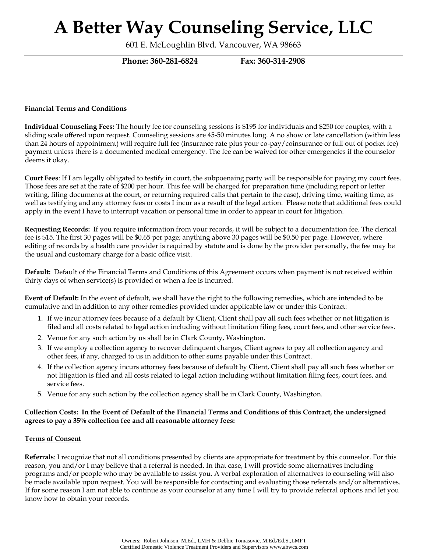601 E. McLoughlin Blvd. Vancouver, WA 98663

**Phone: 360-281-6824 Fax: 360-314-2908**

### **Financial Terms and Conditions**

**Individual Counseling Fees:** The hourly fee for counseling sessions is \$195 for individuals and \$250 for couples, with a sliding scale offered upon request. Counseling sessions are 45-50 minutes long. A no show or late cancellation (within less than 24 hours of appointment) will require full fee (insurance rate plus your co-pay/coinsurance or full out of pocket fee) payment unless there is a documented medical emergency. The fee can be waived for other emergencies if the counselor deems it okay.

**Court Fees**: If I am legally obligated to testify in court, the subpoenaing party will be responsible for paying my court fees. Those fees are set at the rate of \$200 per hour. This fee will be charged for preparation time (including report or letter writing, filing documents at the court, or returning required calls that pertain to the case), driving time, waiting time, as well as testifying and any attorney fees or costs I incur as a result of the legal action. Please note that additional fees could apply in the event I have to interrupt vacation or personal time in order to appear in court for litigation.

**Requesting Records:** If you require information from your records, it will be subject to a documentation fee. The clerical fee is \$15. The first 30 pages will be \$0.65 per page; anything above 30 pages will be \$0.50 per page. However, where editing of records by a health care provider is required by statute and is done by the provider personally, the fee may be the usual and customary charge for a basic office visit.

**Default:** Default of the Financial Terms and Conditions of this Agreement occurs when payment is not received within thirty days of when service(s) is provided or when a fee is incurred.

**Event of Default:** In the event of default, we shall have the right to the following remedies, which are intended to be cumulative and in addition to any other remedies provided under applicable law or under this Contract:

- 1. If we incur attorney fees because of a default by Client, Client shall pay all such fees whether or not litigation is filed and all costs related to legal action including without limitation filing fees, court fees, and other service fees.
- 2. Venue for any such action by us shall be in Clark County, Washington.
- 3. If we employ a collection agency to recover delinquent charges, Client agrees to pay all collection agency and other fees, if any, charged to us in addition to other sums payable under this Contract.
- 4. If the collection agency incurs attorney fees because of default by Client, Client shall pay all such fees whether or not litigation is filed and all costs related to legal action including without limitation filing fees, court fees, and service fees.
- 5. Venue for any such action by the collection agency shall be in Clark County, Washington.

### **Collection Costs: In the Event of Default of the Financial Terms and Conditions of this Contract, the undersigned agrees to pay a 35% collection fee and all reasonable attorney fees:**

### **Terms of Consent**

**Referrals**: I recognize that not all conditions presented by clients are appropriate for treatment by this counselor. For this reason, you and/or I may believe that a referral is needed. In that case, I will provide some alternatives including programs and/or people who may be available to assist you. A verbal exploration of alternatives to counseling will also be made available upon request. You will be responsible for contacting and evaluating those referrals and/or alternatives. If for some reason I am not able to continue as your counselor at any time I will try to provide referral options and let you know how to obtain your records.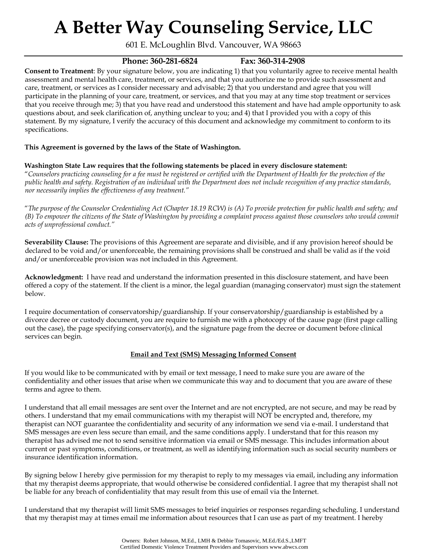601 E. McLoughlin Blvd. Vancouver, WA 98663

### **Phone: 360-281-6824 Fax: 360-314-2908**

**Consent to Treatment**: By your signature below, you are indicating 1) that you voluntarily agree to receive mental health assessment and mental health care, treatment, or services, and that you authorize me to provide such assessment and care, treatment, or services as I consider necessary and advisable; 2) that you understand and agree that you will participate in the planning of your care, treatment, or services, and that you may at any time stop treatment or services that you receive through me; 3) that you have read and understood this statement and have had ample opportunity to ask questions about, and seek clarification of, anything unclear to you; and 4) that I provided you with a copy of this statement. By my signature, I verify the accuracy of this document and acknowledge my commitment to conform to its specifications.

### **This Agreement is governed by the laws of the State of Washington.**

### **Washington State Law requires that the following statements be placed in every disclosure statement:**

"*Counselors practicing counseling for a fee must be registered or certified with the Department of Health for the protection of the public health and safety. Registration of an individual with the Department does not include recognition of any practice standards, nor necessarily implies the effectiveness of any treatment."* 

"*The purpose of the Counselor Credentialing Act (Chapter 18.19 RCW) is (A) To provide protection for public health and safety; and (B) To empower the citizens of the State of Washington by providing a complaint process against those counselors who would commit acts of unprofessional conduct."* 

**Severability Clause:** The provisions of this Agreement are separate and divisible, and if any provision hereof should be declared to be void and/or unenforceable, the remaining provisions shall be construed and shall be valid as if the void and/or unenforceable provision was not included in this Agreement.

**Acknowledgment:** I have read and understand the information presented in this disclosure statement, and have been offered a copy of the statement. If the client is a minor, the legal guardian (managing conservator) must sign the statement below.

I require documentation of conservatorship/guardianship. If your conservatorship/guardianship is established by a divorce decree or custody document, you are require to furnish me with a photocopy of the cause page (first page calling out the case), the page specifying conservator(s), and the signature page from the decree or document before clinical services can begin.

### **Email and Text (SMS) Messaging Informed Consent**

If you would like to be communicated with by email or text message, I need to make sure you are aware of the confidentiality and other issues that arise when we communicate this way and to document that you are aware of these terms and agree to them.

I understand that all email messages are sent over the Internet and are not encrypted, are not secure, and may be read by others. I understand that my email communications with my therapist will NOT be encrypted and, therefore, my therapist can NOT guarantee the confidentiality and security of any information we send via e-mail. I understand that SMS messages are even less secure than email, and the same conditions apply. I understand that for this reason my therapist has advised me not to send sensitive information via email or SMS message. This includes information about current or past symptoms, conditions, or treatment, as well as identifying information such as social security numbers or insurance identification information.

By signing below I hereby give permission for my therapist to reply to my messages via email, including any information that my therapist deems appropriate, that would otherwise be considered confidential. I agree that my therapist shall not be liable for any breach of confidentiality that may result from this use of email via the Internet.

I understand that my therapist will limit SMS messages to brief inquiries or responses regarding scheduling. I understand that my therapist may at times email me information about resources that I can use as part of my treatment. I hereby